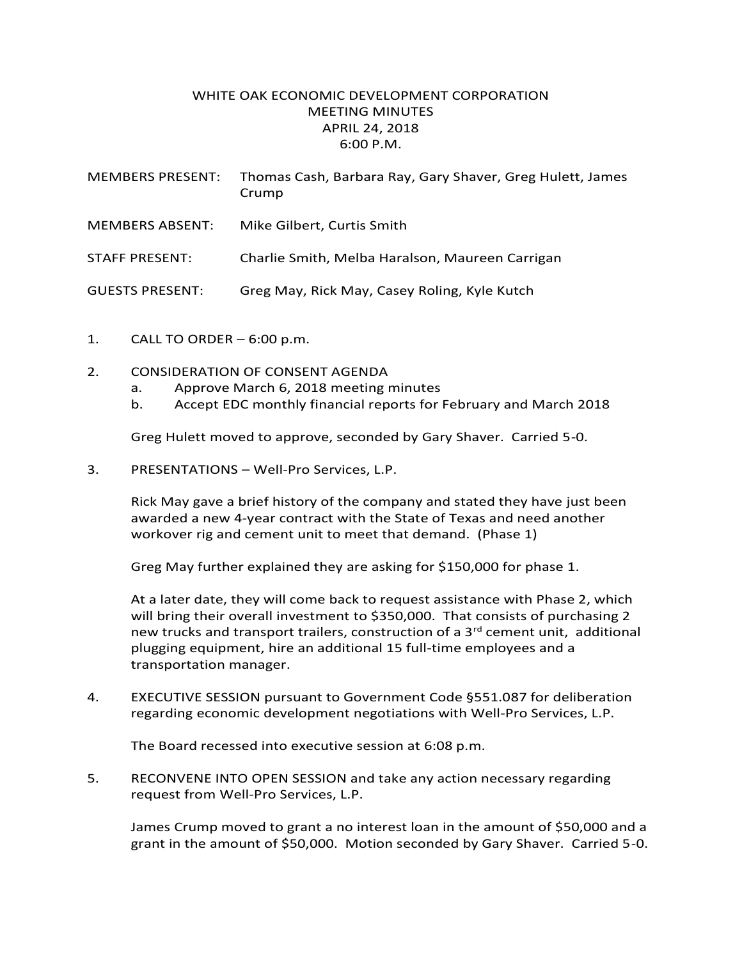## WHITE OAK ECONOMIC DEVELOPMENT CORPORATION MEETING MINUTES APRIL 24, 2018 6:00 P.M.

| <b>MEMBERS PRESENT:</b> | Thomas Cash, Barbara Ray, Gary Shaver, Greg Hulett, James<br>Crump |
|-------------------------|--------------------------------------------------------------------|
| <b>MEMBERS ABSENT:</b>  | Mike Gilbert, Curtis Smith                                         |
| STAFF PRESENT:          | Charlie Smith, Melba Haralson, Maureen Carrigan                    |
| <b>GUESTS PRESENT:</b>  | Greg May, Rick May, Casey Roling, Kyle Kutch                       |

- 1. CALL TO ORDER 6:00 p.m.
- 2. CONSIDERATION OF CONSENT AGENDA
	- a. Approve March 6, 2018 meeting minutes
	- b. Accept EDC monthly financial reports for February and March 2018

Greg Hulett moved to approve, seconded by Gary Shaver. Carried 5-0.

3. PRESENTATIONS – Well-Pro Services, L.P.

Rick May gave a brief history of the company and stated they have just been awarded a new 4-year contract with the State of Texas and need another workover rig and cement unit to meet that demand. (Phase 1)

Greg May further explained they are asking for \$150,000 for phase 1.

At a later date, they will come back to request assistance with Phase 2, which will bring their overall investment to \$350,000. That consists of purchasing 2 new trucks and transport trailers, construction of a  $3<sup>rd</sup>$  cement unit, additional plugging equipment, hire an additional 15 full-time employees and a transportation manager.

4. EXECUTIVE SESSION pursuant to Government Code §551.087 for deliberation regarding economic development negotiations with Well-Pro Services, L.P.

The Board recessed into executive session at 6:08 p.m.

5. RECONVENE INTO OPEN SESSION and take any action necessary regarding request from Well-Pro Services, L.P.

James Crump moved to grant a no interest loan in the amount of \$50,000 and a grant in the amount of \$50,000. Motion seconded by Gary Shaver. Carried 5-0.